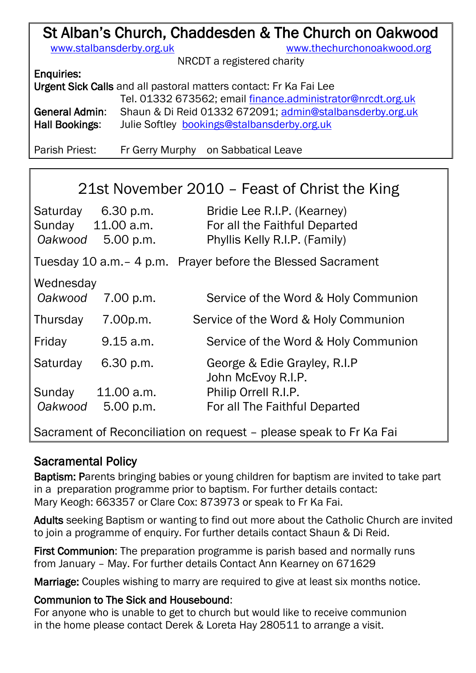# St Alban's Church, Chaddesden & The Church on Oakwood

[www.stalbansderby.org.uk](http://www.stalbansderby.org.uk/) [www.thechurchonoakwood.org](http://www.thechurchonoakwood.org/)

NRCDT a registered charity

| <b>Enquiries:</b> |
|-------------------|
|                   |

| Urgent Sick Calls and all pastoral matters contact: Fr Ka Fai Lee |                                                             |  |
|-------------------------------------------------------------------|-------------------------------------------------------------|--|
|                                                                   | Tel. 01332 673562; email finance.administrator@nrcdt.org.uk |  |
| General Admin:                                                    | Shaun & Di Reid 01332 672091; admin@stalbansderby.org.uk    |  |
| Hall Bookings:                                                    | Julie Softley bookings@stalbansderby.org.uk                 |  |

Parish Priest: Fr Gerry Murphy on Sabbatical Leave

| 21st November 2010 – Feast of Christ the King                      |                                                      |                                                                                               |  |
|--------------------------------------------------------------------|------------------------------------------------------|-----------------------------------------------------------------------------------------------|--|
| Oakwood                                                            | Saturday 6.30 p.m.<br>Sunday 11.00 a.m.<br>5.00 p.m. | Bridie Lee R.I.P. (Kearney)<br>For all the Faithful Departed<br>Phyllis Kelly R.I.P. (Family) |  |
|                                                                    |                                                      | Tuesday 10 a.m. - 4 p.m. Prayer before the Blessed Sacrament                                  |  |
| Wednesday<br>Oakwood                                               | 7.00 p.m.                                            | Service of the Word & Holy Communion                                                          |  |
| Thursday                                                           | 7.00p.m.                                             | Service of the Word & Holy Communion                                                          |  |
| Friday                                                             | 9.15 a.m.                                            | Service of the Word & Holy Communion                                                          |  |
| Saturday                                                           | 6.30 p.m.                                            | George & Edie Grayley, R.I.P<br>John McEvoy R.I.P.                                            |  |
| Sunday                                                             | 11.00 a.m.                                           | Philip Orrell R.I.P.                                                                          |  |
| Oakwood                                                            | 5.00 p.m.                                            | For all The Faithful Departed                                                                 |  |
| Sacrament of Reconciliation on request – please speak to Fr Ka Fai |                                                      |                                                                                               |  |

### Sacramental Policy

Baptism: Parents bringing babies or young children for baptism are invited to take part in a preparation programme prior to baptism. For further details contact: Mary Keogh: 663357 or Clare Cox: 873973 or speak to Fr Ka Fai.

Adults seeking Baptism or wanting to find out more about the Catholic Church are invited to join a programme of enquiry. For further details contact Shaun & Di Reid.

First Communion: The preparation programme is parish based and normally runs from January – May. For further details Contact Ann Kearney on 671629

Marriage: Couples wishing to marry are required to give at least six months notice.

#### Communion to The Sick and Housebound:

For anyone who is unable to get to church but would like to receive communion in the home please contact Derek & Loreta Hay 280511 to arrange a visit.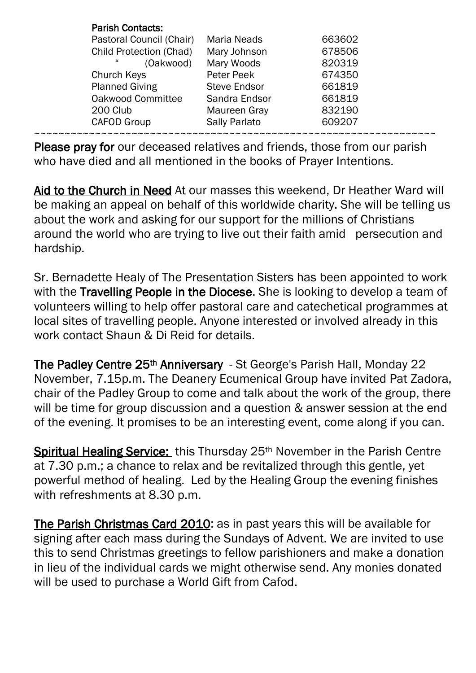| <b>Parish Contacts:</b>        |                     |        |  |
|--------------------------------|---------------------|--------|--|
| Pastoral Council (Chair)       | <b>Maria Neads</b>  | 663602 |  |
| <b>Child Protection (Chad)</b> | Mary Johnson        | 678506 |  |
| 44<br>(Oakwood)                | Mary Woods          | 820319 |  |
| Church Keys                    | Peter Peek          | 674350 |  |
| <b>Planned Giving</b>          | <b>Steve Endsor</b> | 661819 |  |
| Oakwood Committee              | Sandra Endsor       | 661819 |  |
| 200 Club                       | Maureen Gray        | 832190 |  |
| <b>CAFOD Group</b>             | Sally Parlato       | 609207 |  |
|                                |                     |        |  |

Please pray for our deceased relatives and friends, those from our parish who have died and all mentioned in the books of Prayer Intentions.

Aid to the Church in Need At our masses this weekend, Dr Heather Ward will be making an appeal on behalf of this worldwide charity. She will be telling us about the work and asking for our support for the millions of Christians around the world who are trying to live out their faith amid persecution and hardship.

Sr. Bernadette Healy of The Presentation Sisters has been appointed to work with the Travelling People in the Diocese. She is looking to develop a team of volunteers willing to help offer pastoral care and catechetical programmes at local sites of travelling people. Anyone interested or involved already in this work contact Shaun & Di Reid for details.

The Padley Centre 25<sup>th</sup> Anniversary - St George's Parish Hall, Monday 22 November, 7.15p.m. The Deanery Ecumenical Group have invited Pat Zadora, chair of the Padley Group to come and talk about the work of the group, there will be time for group discussion and a question & answer session at the end of the evening. It promises to be an interesting event, come along if you can.

Spiritual Healing Service: this Thursday 25<sup>th</sup> November in the Parish Centre at 7.30 p.m.; a chance to relax and be revitalized through this gentle, yet powerful method of healing. Led by the Healing Group the evening finishes with refreshments at 8.30 p.m.

The Parish Christmas Card 2010: as in past years this will be available for signing after each mass during the Sundays of Advent. We are invited to use this to send Christmas greetings to fellow parishioners and make a donation in lieu of the individual cards we might otherwise send. Any monies donated will be used to purchase a World Gift from Cafod.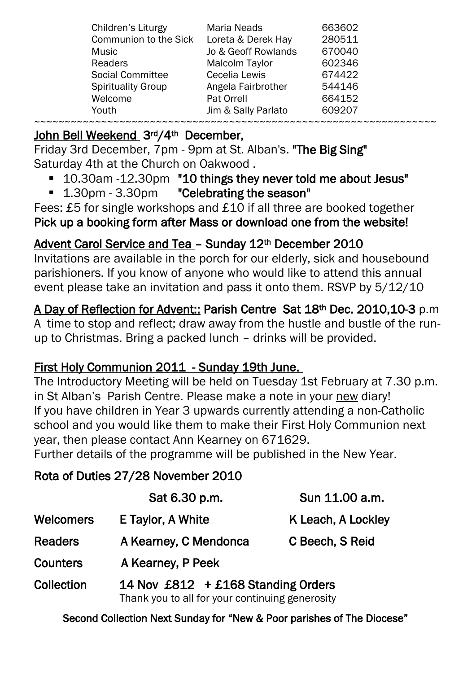| Children's Liturgy           | <b>Maria Neads</b>    | 663602 |
|------------------------------|-----------------------|--------|
| <b>Communion to the Sick</b> | Loreta & Derek Hay    | 280511 |
| Music                        | Jo & Geoff Rowlands   | 670040 |
| <b>Readers</b>               | <b>Malcolm Taylor</b> | 602346 |
| <b>Social Committee</b>      | Cecelia Lewis         | 674422 |
| <b>Spirituality Group</b>    | Angela Fairbrother    | 544146 |
| Welcome                      | Pat Orrell            | 664152 |
| Youth                        | Jim & Sally Parlato   | 609207 |
|                              |                       |        |

## John Bell Weekend 3rd/4th December,

Friday 3rd December, 7pm - 9pm at St. Alban's. "The Big Sing" Saturday 4th at the Church on Oakwood .

- 10.30am -12.30pm "10 things they never told me about Jesus"
- 1.30pm 3.30pm "Celebrating the season"

Fees: £5 for single workshops and £10 if all three are booked together Pick up a booking form after Mass or download one from the website!

# Advent Carol Service and Tea – Sunday 12th December 2010

Invitations are available in the porch for our elderly, sick and housebound parishioners. If you know of anyone who would like to attend this annual event please take an invitation and pass it onto them. RSVP by 5/12/10

A Day of Reflection for Advent:: Parish Centre Sat 18th Dec. 2010,10-3 p.m A time to stop and reflect; draw away from the hustle and bustle of the runup to Christmas. Bring a packed lunch – drinks will be provided.

## First Holy Communion 2011 - Sunday 19th June.

The Introductory Meeting will be held on Tuesday 1st February at 7.30 p.m. in St Alban's Parish Centre. Please make a note in your new diary! If you have children in Year 3 upwards currently attending a non-Catholic school and you would like them to make their First Holy Communion next year, then please contact Ann Kearney on 671629.

Further details of the programme will be published in the New Year.

# Rota of Duties 27/28 November 2010

|                 | Sat 6.30 p.m.                                                                         | Sun 11.00 a.m.     |
|-----------------|---------------------------------------------------------------------------------------|--------------------|
| Welcomers       | E Taylor, A White                                                                     | K Leach, A Lockley |
| <b>Readers</b>  | A Kearney, C Mendonca                                                                 | C Beech, S Reid    |
| <b>Counters</b> | A Kearney, P Peek                                                                     |                    |
| Collection      | 14 Nov £812 + £168 Standing Orders<br>Thank you to all for your continuing generosity |                    |

Second Collection Next Sunday for "New & Poor parishes of The Diocese"